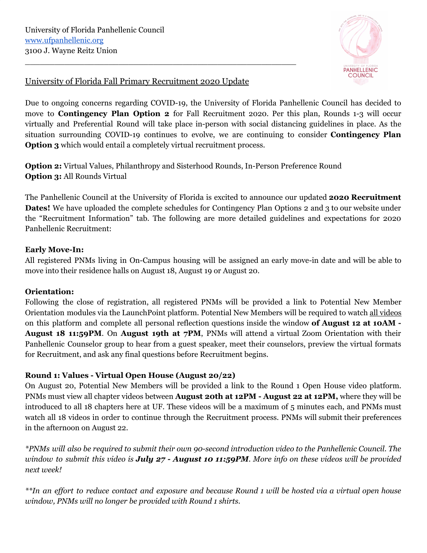

# University of Florida Fall Primary Recruitment 2020 Update

\_\_\_\_\_\_\_\_\_\_\_\_\_\_\_\_\_\_\_\_\_\_\_\_\_\_\_\_\_\_\_\_\_\_\_\_\_\_\_\_\_\_\_\_\_\_\_\_\_\_\_\_\_\_\_

Due to ongoing concerns regarding COVID-19, the University of Florida Panhellenic Council has decided to move to **Contingency Plan Option 2** for Fall Recruitment 2020. Per this plan, Rounds 1-3 will occur virtually and Preferential Round will take place in-person with social distancing guidelines in place. As the situation surrounding COVID-19 continues to evolve, we are continuing to consider **Contingency Plan Option 3** which would entail a completely virtual recruitment process.

**Option 2:** Virtual Values, Philanthropy and Sisterhood Rounds, In-Person Preference Round **Option 3:** All Rounds Virtual

The Panhellenic Council at the University of Florida is excited to announce our updated **2020 Recruitment Dates!** We have uploaded the complete schedules for Contingency Plan Options 2 and 3 to our website under the "Recruitment Information" tab. The following are more detailed guidelines and expectations for 2020 Panhellenic Recruitment:

### **Early Move-In:**

All registered PNMs living in On-Campus housing will be assigned an early move-in date and will be able to move into their residence halls on August 18, August 19 or August 20.

# **Orientation:**

Following the close of registration, all registered PNMs will be provided a link to Potential New Member Orientation modules via the LaunchPoint platform. Potential New Members will be required to watch all videos on this platform and complete all personal reflection questions inside the window **of August 12 at 10AM - August 18 11:59PM**. On **August 19th at 7PM**, PNMs will attend a virtual Zoom Orientation with their Panhellenic Counselor group to hear from a guest speaker, meet their counselors, preview the virtual formats for Recruitment, and ask any final questions before Recruitment begins.

# **Round 1: Values - Virtual Open House (August 20/22)**

On August 20, Potential New Members will be provided a link to the Round 1 Open House video platform. PNMs must view all chapter videos between **August 20th at 12PM - August 22 at 12PM,** where they will be introduced to all 18 chapters here at UF. These videos will be a maximum of 5 minutes each, and PNMs must watch all 18 videos in order to continue through the Recruitment process. PNMs will submit their preferences in the afternoon on August 22.

\*PNMs will also be required to submit their own 90-second introduction video to the Panhellenic Council. The window to submit this video is July  $27$  - August 10 11:59PM. More info on these videos will be provided *next week!*

\*\*In an effort to reduce contact and exposure and because Round 1 will be hosted via a virtual open house *window, PNMs will no longer be provided with Round 1 shirts.*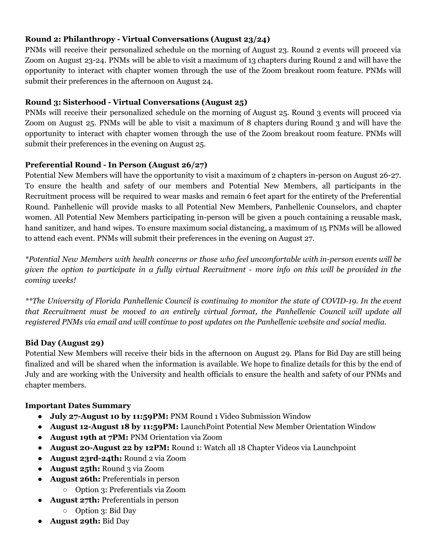## **Round 2: Philanthropy - Virtual Conversations (August 23/24)**

PNMs will receive their personalized schedule on the morning of August 23. Round 2 events will proceed via Zoom on August 23-24. PNMs will be able to visit a maximum of 13 chapters during Round 2 and will have the opportunity to interact with chapter women through the use of the Zoom breakout room feature. PNMs will submit their preferences in the afternoon on August 24.

### **Round 3: Sisterhood - Virtual Conversations (August 25)**

PNMs will receive their personalized schedule on the morning of August 25. Round 3 events will proceed via Zoom on August 25. PNMs will be able to visit a maximum of 8 chapters during Round 3 and will have the opportunity to interact with chapter women through the use of the Zoom breakout room feature. PNMs will submit their preferences in the evening on August 25.

#### **Preferential Round - In Person (August 26/27)**

Potential New Members will have the opportunity to visit a maximum of 2 chapters in-person on August 26-27. To ensure the health and safety of our members and Potential New Members, all participants in the Recruitment process will be required to wear masks and remain 6 feet apart for the entirety of the Preferential Round. Panhellenic will provide masks to all Potential New Members, Panhellenic Counselors, and chapter women. All Potential New Members participating in-person will be given a pouch containing a reusable mask, hand sanitizer, and hand wipes. To ensure maximum social distancing, a maximum of 15 PNMs will be allowed to attend each event. PNMs will submit their preferences in the evening on August 27.

*\*Potential New Members with health concerns or those who feel uncomfortable with in-person events will be* given the option to participate in a fully virtual Recruitment - more info on this will be provided in the *coming weeks!*

\*\*The University of Florida Panhellenic Council is continuing to monitor the state of COVID-19. In the event *that Recruitment must be moved to an entirely virtual format, the Panhellenic Council will update all registered PNMs via email and will continue to post updates on the Panhellenic website and social media.*

#### **Bid Day (August 29)**

Potential New Members will receive their bids in the afternoon on August 29. Plans for Bid Day are still being finalized and will be shared when the information is available. We hope to finalize details for this by the end of July and are working with the University and health officials to ensure the health and safety of our PNMs and chapter members.

#### **Important Dates Summary**

- **July 27-August 10 by 11:59PM:** PNM Round 1 Video Submission Window
- **August 12-August 18 by 11:59PM:** LaunchPoint Potential New Member Orientation Window
- **August 19th at 7PM:** PNM Orientation via Zoom
- **August 20-August 22 by 12PM:** Round 1: Watch all 18 Chapter Videos via Launchpoint
- **● August 23rd-24th:** Round 2 via Zoom
- **August 25th:** Round 3 via Zoom
- **August 26th:** Preferentials in person
	- Option 3: Preferentials via Zoom
- **August 27th:** Preferentials in person
	- Option 3: Bid Day
- **August 29th:** Bid Day